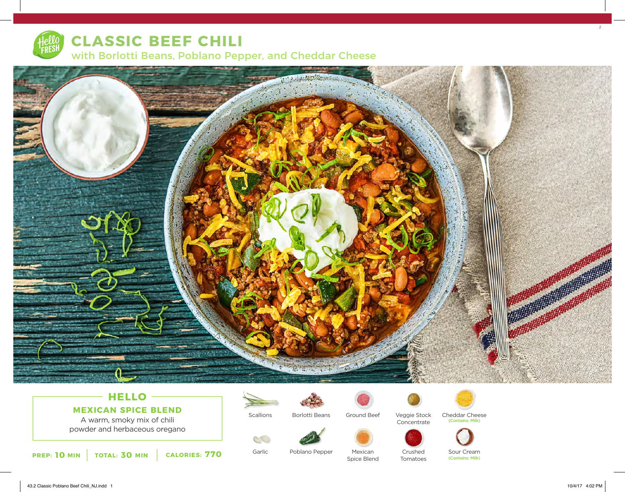

**CLASSIC BEEF CHILI** with Borlotti Beans, Poblano Pepper, and Cheddar Cheese



## **HELLO MEXICAN SPICE BLEND**

A warm, smoky mix of chili powder and herbaceous oregano

![](_page_0_Picture_5.jpeg)

![](_page_0_Picture_6.jpeg)

Garlic

S

Borlotti Beans

Poblano Pepper

![](_page_0_Picture_8.jpeg)

Veggie Stock Concentrate

![](_page_0_Picture_10.jpeg)

![](_page_0_Picture_11.jpeg)

Mexican Spice Blend

![](_page_0_Picture_13.jpeg)

Crushed Tomatoes

Sour Cream<br>(Contains: Milk)

Cheddar Cheese

(Contains: Milk)

 $\overline{2}$